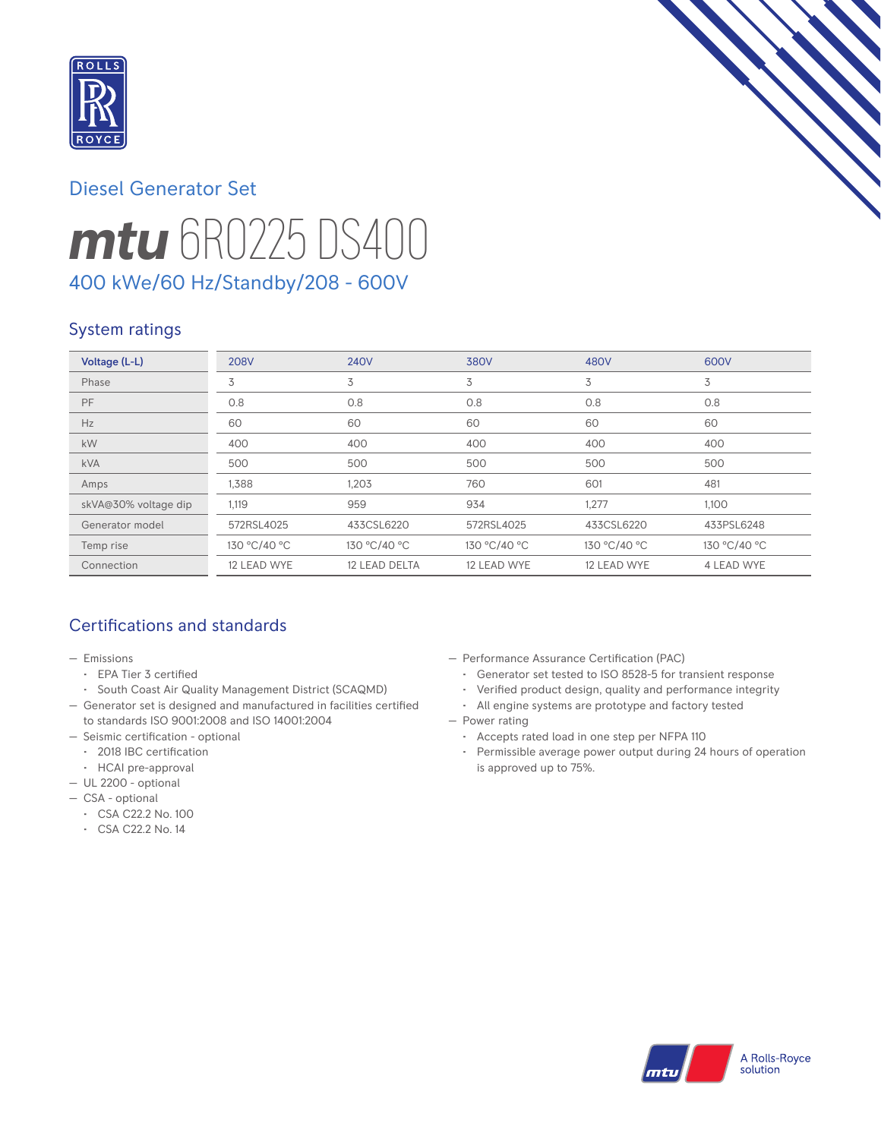

# *mtu* 6R0225 DS400 Diesel Generator Set 400 kWe/60 Hz/Standby/208 - 600V

### System ratings

| Voltage (L-L)        | <b>208V</b>  | <b>240V</b>   | <b>380V</b>  | 480V         | 600V         |
|----------------------|--------------|---------------|--------------|--------------|--------------|
| Phase                | 3            | 3             | 3            | 3            | 3            |
| PF                   | 0.8          | 0.8           | 0.8          | 0.8          | 0.8          |
| Hz                   | 60           | 60            | 60           | 60           | 60           |
| kW                   | 400          | 400           | 400          | 400          | 400          |
| <b>kVA</b>           | 500          | 500           | 500          | 500          | 500          |
| Amps                 | 1,388        | 1,203         | 760          | 601          | 481          |
| skVA@30% voltage dip | 1,119        | 959           | 934          | 1,277        | 1,100        |
| Generator model      | 572RSL4025   | 433CSL6220    | 572RSL4025   | 433CSL6220   | 433PSL6248   |
| Temp rise            | 130 °C/40 °C | 130 °C/40 °C  | 130 °C/40 °C | 130 °C/40 °C | 130 °C/40 °C |
| Connection           | 12 LEAD WYE  | 12 LEAD DELTA | 12 LEAD WYE  | 12 LEAD WYE  | 4 LEAD WYE   |

### Certifications and standards

- Emissions
	- EPA Tier 3 certified
- South Coast Air Quality Management District (SCAQMD)
- Generator set is designed and manufactured in facilities certified to standards ISO 9001:2008 and ISO 14001:2004
- Seismic certification optional
- 2018 IBC certification
- HCAI pre-approval
- UL 2200 optional
- CSA optional
	- CSA C22.2 No. 100
	- CSA C22.2 No. 14
- Performance Assurance Certification (PAC)
	- Generator set tested to ISO 8528-5 for transient response
	- Verified product design, quality and performance integrity
	- All engine systems are prototype and factory tested
- Power rating
	- Accepts rated load in one step per NFPA 110
	- Permissible average power output during 24 hours of operation is approved up to 75%.

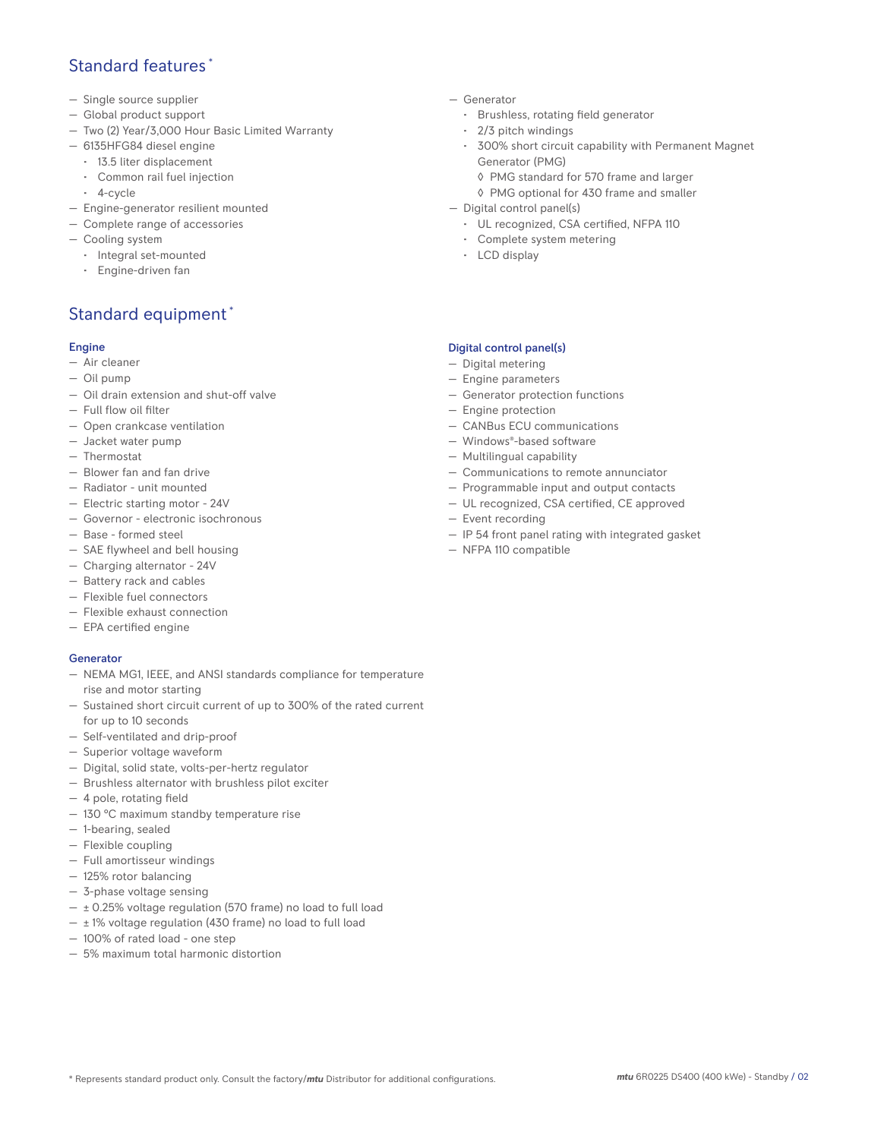### Standard features \*

- Single source supplier
- Global product support
- Two (2) Year/3,000 Hour Basic Limited Warranty
- 6135HFG84 diesel engine
- 13.5 liter displacement
- Common rail fuel injection
- 4-cycle
- Engine-generator resilient mounted
- Complete range of accessories
- Cooling system
- Integral set-mounted
	- Engine-driven fan

### Standard equipment \*

#### Engine

- Air cleaner
- Oil pump
- Oil drain extension and shut-off valve
- Full flow oil filter
- Open crankcase ventilation
- Jacket water pump
- Thermostat
- Blower fan and fan drive
- Radiator unit mounted
- Electric starting motor 24V
- Governor electronic isochronous
- Base formed steel
- SAE flywheel and bell housing
- Charging alternator 24V
- Battery rack and cables
- Flexible fuel connectors
- Flexible exhaust connection
- EPA certified engine

#### **Generator**

- NEMA MG1, IEEE, and ANSI standards compliance for temperature rise and motor starting
- Sustained short circuit current of up to 300% of the rated current for up to 10 seconds
- Self-ventilated and drip-proof
- Superior voltage waveform
- Digital, solid state, volts-per-hertz regulator
- Brushless alternator with brushless pilot exciter
- 4 pole, rotating field
- 130 °C maximum standby temperature rise
- 1-bearing, sealed
- Flexible coupling
- Full amortisseur windings
- 125% rotor balancing
- 3-phase voltage sensing
- $\pm$  0.25% voltage regulation (570 frame) no load to full load
- $\pm$  1% voltage regulation (430 frame) no load to full load
- 100% of rated load one step
- 5% maximum total harmonic distortion
- Generator
	- Brushless, rotating field generator
	- 2/3 pitch windings
	- 300% short circuit capability with Permanent Magnet Generator (PMG)
		- ◊ PMG standard for 570 frame and larger
		- ◊ PMG optional for 430 frame and smaller
- Digital control panel(s)
	- UL recognized, CSA certified, NFPA 110
	- Complete system metering
	- LCD display

#### Digital control panel(s)

- Digital metering
- Engine parameters
- Generator protection functions
- Engine protection
- CANBus ECU communications
- Windows®-based software
- Multilingual capability
- Communications to remote annunciator
- Programmable input and output contacts
- UL recognized, CSA certified, CE approved
- Event recording
- IP 54 front panel rating with integrated gasket
- NFPA 110 compatible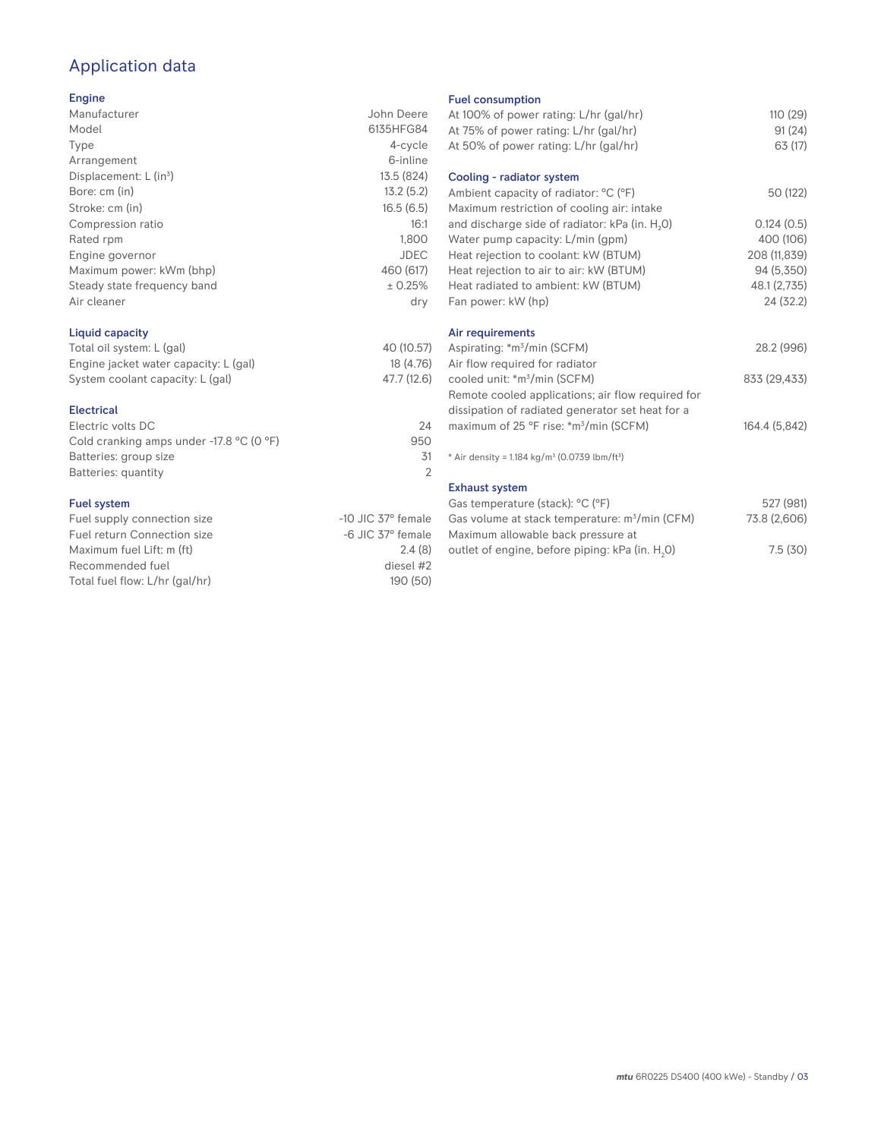## Application data

#### Engine

| Manufacturer                         | John Deere  |
|--------------------------------------|-------------|
| Model                                | 6135HFG84   |
| Type                                 | 4-cycle     |
| Arrangement                          | 6-inline    |
| Displacement: $L$ (in <sup>3</sup> ) | 13.5 (824)  |
| Bore: cm (in)                        | 13.2(5.2)   |
| Stroke: cm (in)                      | 16.5(6.5)   |
| Compression ratio                    | 16:1        |
| Rated rpm                            | 1,800       |
| Engine governor                      | <b>JDEC</b> |
| Maximum power: kWm (bhp)             | 460 (617)   |
| Steady state frequency band          | ± 0.25%     |
| Air cleaner                          | dry         |
|                                      |             |

### Liquid capacity

| Total oil system: L (gal)             | 40 (10.57)  |
|---------------------------------------|-------------|
| Engine jacket water capacity: L (gal) | 18 (4.76)   |
| System coolant capacity: L (gal)      | 47.7 (12.6) |

#### Electrical

| Electric volts DC                                            | 24  |
|--------------------------------------------------------------|-----|
| Cold cranking amps under -17.8 $^{\circ}$ C (O $^{\circ}$ F) | 950 |
| Batteries: group size                                        | .31 |
| Batteries: quantity                                          |     |
|                                                              |     |

#### Fuel system

| Fuel supply connection size    | $-10$ JIC 37 $^{\circ}$ female |
|--------------------------------|--------------------------------|
| Fuel return Connection size    | $-6$ JIC $37^\circ$ female     |
| Maximum fuel Lift: m (ft)      | 2.4(8)                         |
| Recommended fuel               | diesel #2                      |
| Total fuel flow: L/hr (gal/hr) | 190(50)                        |

#### Fuel consumption

| At 100% of power rating: L/hr (gal/hr)<br>At 75% of power rating: L/hr (gal/hr)<br>At 50% of power rating: L/hr (gal/hr) | 110 (29)<br>91(24)<br>63 (17) |
|--------------------------------------------------------------------------------------------------------------------------|-------------------------------|
| Cooling - radiator system                                                                                                |                               |
| Ambient capacity of radiator: °C (°F)<br>Maximum restriction of cooling air: intake                                      | 50 (122)                      |
| and discharge side of radiator: kPa (in. H <sub>2</sub> O)                                                               | 0.124(0.5)                    |
| Water pump capacity: L/min (gpm)                                                                                         | 400 (106)                     |
| Heat rejection to coolant: kW (BTUM)                                                                                     | 208 (11,839)                  |
| Heat rejection to air to air: kW (BTUM)                                                                                  | 94 (5,350)                    |
| Heat radiated to ambient: kW (BTUM)                                                                                      | 48.1 (2,735)                  |
| Fan power: kW (hp)                                                                                                       | 24 (32.2)                     |
| Air requirements                                                                                                         |                               |
| Aspirating: *m <sup>3</sup> /min (SCFM)                                                                                  | 28.2 (996)                    |
| Air flow required for radiator                                                                                           |                               |
| cooled unit: *m <sup>3</sup> /min (SCFM)                                                                                 | 833 (29,433)                  |
| Remote cooled applications; air flow required for                                                                        |                               |
| dissipation of radiated generator set heat for a                                                                         |                               |
| maximum of 25 °F rise: *m <sup>3</sup> /min (SCFM)                                                                       | 164.4 (5,842)                 |
| * Air density = 1.184 kg/m <sup>3</sup> (0.0739 lbm/ft <sup>3</sup> )                                                    |                               |
| <b>Exhaust system</b>                                                                                                    |                               |
| Gas temperature (stack): °C (°F)                                                                                         | 527 (981)                     |
| Gas volume at stack temperature: m <sup>3</sup> /min (CFM)                                                               | 73.8 (2,606)                  |
| Maximum allowable back pressure at<br>outlet of engine, before piping: kPa (in. H <sub>2</sub> 0)                        | 7.5(30)                       |
|                                                                                                                          |                               |